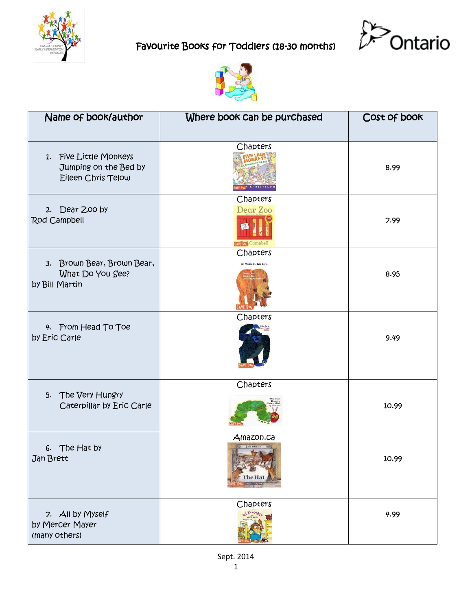





| Name of book/author                                                   | Where book can be purchased                    | Cost of book |
|-----------------------------------------------------------------------|------------------------------------------------|--------------|
| 1. Five Little Monkeys<br>Jumping on the Bed by<br>Eileen Chris Telow | Chapters                                       | 8.99         |
| 2. Dear Zoo by<br>Rod Campbell                                        | Chapters<br>Dear Zoo<br>SAVE 5% Campbell       | 7.99         |
| 3. Brown Bear, Brown Bear,<br>What Do You See?<br>by Bill Martin      | Chapters<br><b>Bill Martin Jr / Eric Carle</b> | 8.95         |
| 4. From Head To Toe<br>by Eric Carle                                  | Chapters                                       | 9.49         |
| 5. The Very Hungry<br>Caterpillar by Eric Carle                       | Chapters                                       | 10.99        |
| The Hat by<br>6.<br>Jan Brett                                         | Amazon.ca<br><b>BELLEVILLE AND SERVICE</b>     | 10.99        |
| 7. All by Myself<br>by Mercer Mayer<br>(many others)                  | Chapters                                       | 4.99         |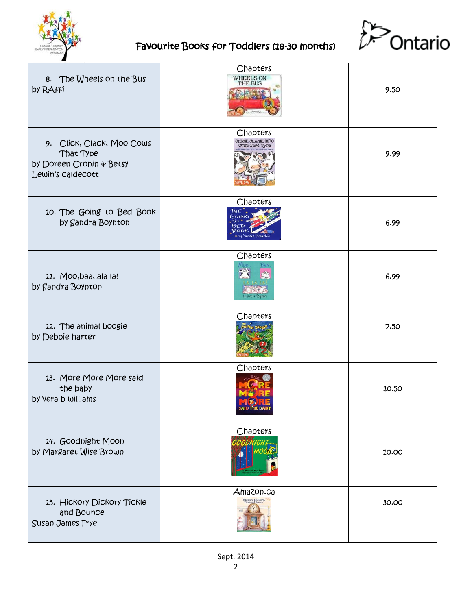



| 8. The Wheels on the Bus<br><b>by RAffi</b>                                             | Chapters<br>WHEELS ON<br><b>THE BUS</b>                | 9.50  |
|-----------------------------------------------------------------------------------------|--------------------------------------------------------|-------|
| 9. Click, Clack, Moo Cows<br>That Type<br>by Doreen Cronin & Betsy<br>Lewin's Caldecott | Chapters<br>CLICK, CLACK, MOO<br><b>Cows That Type</b> | 9.99  |
| 10. The Going to Bed Book<br>by Sandra Boynton                                          | Chapters                                               | 6.99  |
| 11. Moo, baa, lala la!<br>by Sandra Boynton                                             | Chapters                                               | 6.99  |
| 12. The animal boogie<br>by Debbie harter                                               | Chapters                                               | 7.50  |
| 13. More More More said<br>the baby<br>by vera b williams                               | Chapters                                               | 10.50 |
| 14. Goodnight Moon<br>by Margaret Wise Brown                                            | Chapters                                               | 10.00 |
| 15. Hickory Dickory Tickle<br>and Bounce<br><b>Susan James Frye</b>                     | Amazon.ca<br>Hickory, Dickory,                         | 30.00 |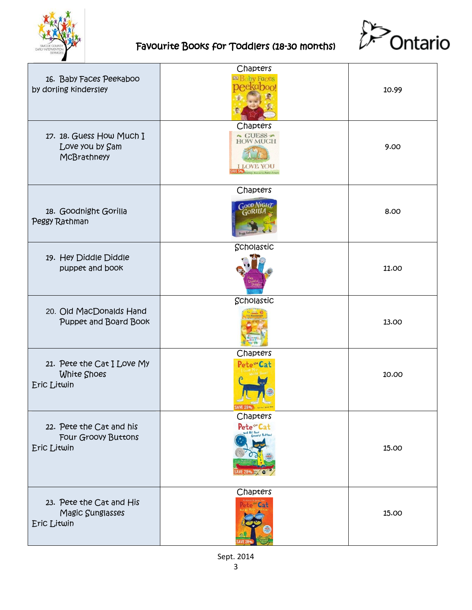



| 16. Baby Faces Peekaboo<br>by dorling kindersley               | Chapters<br>by Faces                               | 10.99 |
|----------------------------------------------------------------|----------------------------------------------------|-------|
| 17. 18. Guess How Much I<br>Love you by Sam<br>McBrathneyy     | Chapters<br>$\sim$ GUESS $\sim$<br><b>HOW MUCH</b> | 9.00  |
| 18. Goodnight Gorilla<br>Peggy Rathman                         | Chapters<br>Good Night<br>GORILL!                  | 8.00  |
| 19. Hey Diddle Diddle<br>puppet and book                       | Scholastic                                         | 11.00 |
| 20. Old MacDonalds Hand<br>Puppet and Board Book               | Scholastic                                         | 13.00 |
| 21. Pete the Cat I Love My<br>White Shoes<br>Eric Litwin       | Chapters<br>Pete <sup>w</sup> Cat                  | 10.00 |
| 22. Pete the Cat and his<br>Four Groovy Buttons<br>Eric Litwin | Chapters<br>Pete <sup>t</sup> Cat                  | 15.00 |
| 23. Pete the Cat and His<br>Magic Sunglasses<br>Eric Litwin    | Chapters<br>Cat                                    | 15.00 |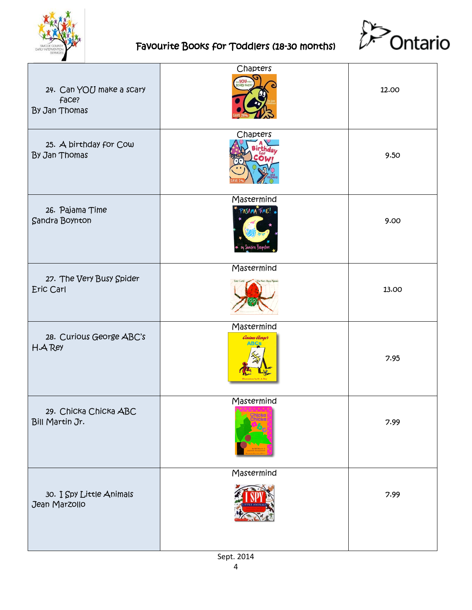



| 24. Can YOU make a scary<br>face?<br>By Jan Thomas | Chapters<br>$y_0$             | 12.00 |
|----------------------------------------------------|-------------------------------|-------|
| 25. A birthday for Cow<br>By Jan Thomas            | Chapters                      | 9.50  |
| 26. Pajama Time<br><b>Sandra Boynton</b>           | Mastermind<br>PAJAMA TIME!    | 9.00  |
| 27. The Very Busy Spider<br>Eric Carl              | Mastermind                    | 13.00 |
| 28. Curious George ABC's<br>H.A Rey                | Mastermind<br>Curious Georges | 7.95  |
| 29. Chicka Chicka ABC<br>Bill Martin Jr.           | Mastermind                    | 7.99  |
| 30. I Spy Little Animals<br>Jean Marzollo          | Mastermind                    | 7.99  |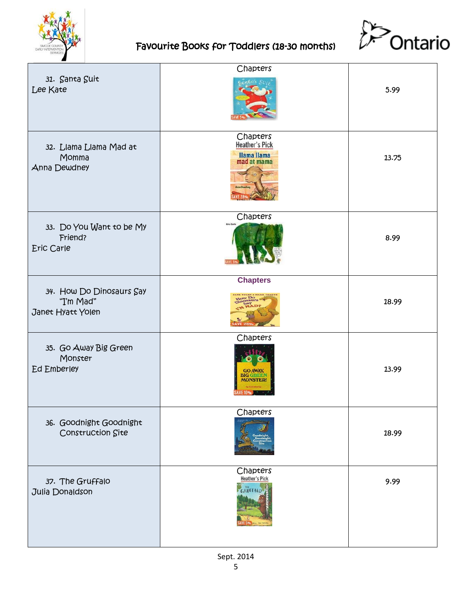



|                                                            | Chapters                                                           |       |
|------------------------------------------------------------|--------------------------------------------------------------------|-------|
| 31. Santa Suit<br>Lee Kate                                 |                                                                    | 5.99  |
| 32. Llama Llama Mad at<br>Momma<br>Anna Dewdney            | Chapters<br><b>Heather's Pick</b><br>Ilama Ilama<br>mad at mama    | 13.75 |
| 33. Do You Want to be My<br>Friend?<br>Eric Carle          | Chapters<br>Eric G                                                 | 8.99  |
| 34. How Do Dinosaurs Say<br>"I'm Mad"<br>Janet Hyatt Yolen | <b>Chapters</b>                                                    | 18.99 |
| 35. Go Away Big Green<br>Monster<br><b>Ed Emberley</b>     | Chapters<br><b>GO AWAY,</b><br><b>BIG GREET</b><br><b>MONSTER!</b> | 13.99 |
| 36. Goodnight Goodnight<br>Construction Site               | Chapters                                                           | 18.99 |
| 37. The Gruffalo<br>Julia Donaldson                        | Chapters<br><b>Heather's Pick</b><br><b>GRUFFALO</b>               | 9.99  |